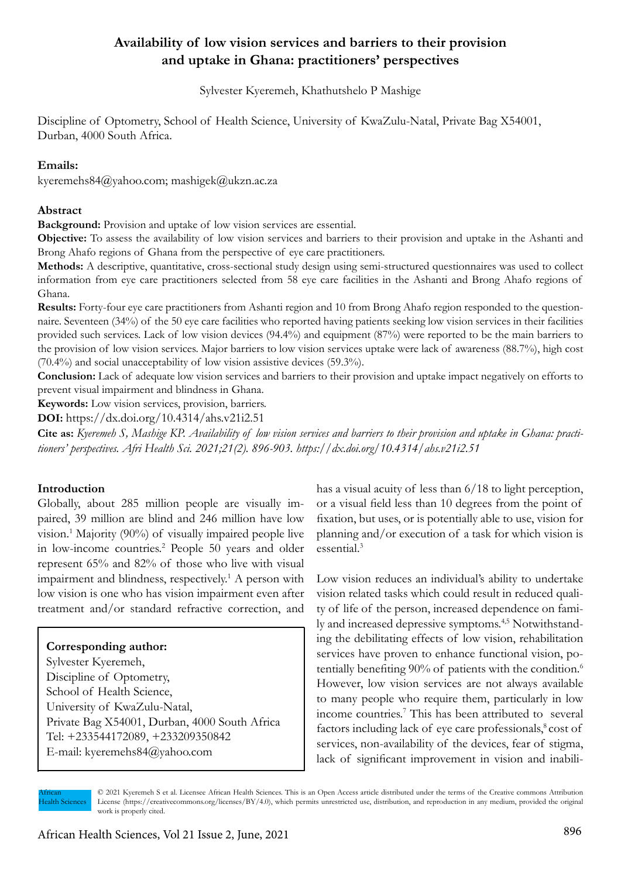# **Availability of low vision services and barriers to their provision and uptake in Ghana: practitioners' perspectives**

Sylvester Kyeremeh, Khathutshelo P Mashige

Discipline of Optometry, School of Health Science, University of KwaZulu-Natal, Private Bag X54001, Durban, 4000 South Africa.

### **Emails:**

kyeremehs84@yahoo.com; mashigek@ukzn.ac.za

#### **Abstract**

**Background:** Provision and uptake of low vision services are essential.

**Objective:** To assess the availability of low vision services and barriers to their provision and uptake in the Ashanti and Brong Ahafo regions of Ghana from the perspective of eye care practitioners.

**Methods:** A descriptive, quantitative, cross-sectional study design using semi-structured questionnaires was used to collect information from eye care practitioners selected from 58 eye care facilities in the Ashanti and Brong Ahafo regions of Ghana.

**Results:** Forty-four eye care practitioners from Ashanti region and 10 from Brong Ahafo region responded to the questionnaire. Seventeen (34%) of the 50 eye care facilities who reported having patients seeking low vision services in their facilities provided such services. Lack of low vision devices (94.4%) and equipment (87%) were reported to be the main barriers to the provision of low vision services. Major barriers to low vision services uptake were lack of awareness (88.7%), high cost (70.4%) and social unacceptability of low vision assistive devices (59.3%).

**Conclusion:** Lack of adequate low vision services and barriers to their provision and uptake impact negatively on efforts to prevent visual impairment and blindness in Ghana.

**Keywords:** Low vision services, provision, barriers.

**DOI:** https://dx.doi.org/10.4314/ahs.v21i2.51

**Cite as:** *Kyeremeh S, Mashige KP. Availability of low vision services and barriers to their provision and uptake in Ghana: practitioners' perspectives. Afri Health Sci. 2021;21(2). 896-903. https://dx.doi.org/10.4314/ahs.v21i2.51*

# **Introduction**

Globally, about 285 million people are visually impaired, 39 million are blind and 246 million have low vision.1 Majority (90%) of visually impaired people live in low-income countries.2 People 50 years and older represent 65% and 82% of those who live with visual impairment and blindness, respectively.<sup>1</sup> A person with low vision is one who has vision impairment even after treatment and/or standard refractive correction, and

# **Corresponding author:**

Sylvester Kyeremeh, Discipline of Optometry, School of Health Science, University of KwaZulu-Natal, Private Bag X54001, Durban, 4000 South Africa Tel: +233544172089, +233209350842 E-mail: kyeremehs84@yahoo.com

has a visual acuity of less than  $6/18$  to light perception, or a visual field less than 10 degrees from the point of fixation, but uses, or is potentially able to use, vision for planning and/or execution of a task for which vision is essential.3

Low vision reduces an individual's ability to undertake vision related tasks which could result in reduced quality of life of the person, increased dependence on family and increased depressive symptoms.4,5 Notwithstanding the debilitating effects of low vision, rehabilitation services have proven to enhance functional vision, potentially benefiting 90% of patients with the condition.<sup>6</sup> However, low vision services are not always available to many people who require them, particularly in low income countries.7 This has been attributed to several factors including lack of eye care professionals, $\text{cos}$  ost of services, non-availability of the devices, fear of stigma, lack of significant improvement in vision and inabili-

African Health Sciences

<sup>© 2021</sup> Kyeremeh S et al. Licensee African Health Sciences. This is an Open Access article distributed under the terms of the Creative commons Attribution License (https://creativecommons.org/licenses/BY/4.0), which permits unrestricted use, distribution, and reproduction in any medium, provided the original work is properly cited.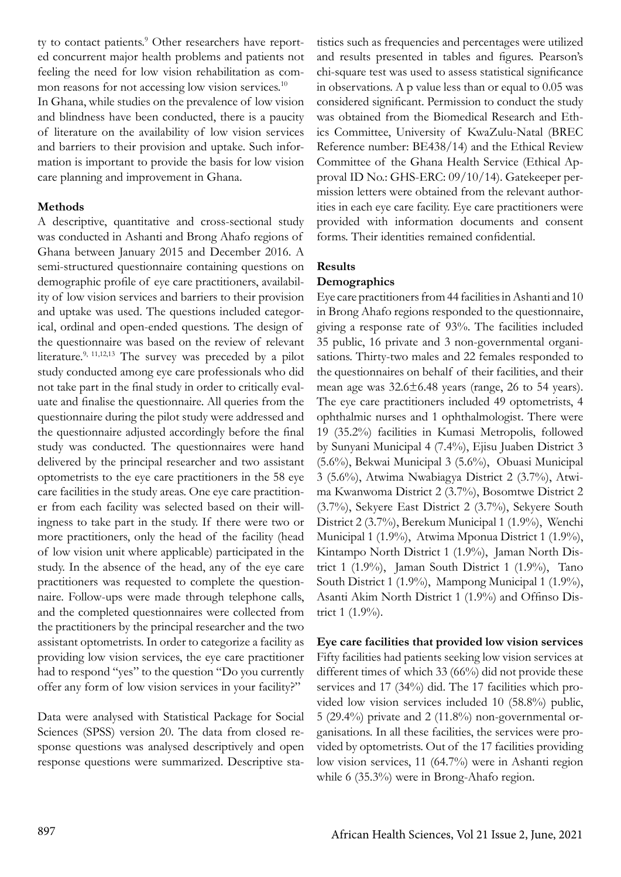ty to contact patients.<sup>9</sup> Other researchers have reported concurrent major health problems and patients not feeling the need for low vision rehabilitation as common reasons for not accessing low vision services.<sup>10</sup> In Ghana, while studies on the prevalence of low vision and blindness have been conducted, there is a paucity of literature on the availability of low vision services and barriers to their provision and uptake. Such information is important to provide the basis for low vision care planning and improvement in Ghana.

### **Methods**

A descriptive, quantitative and cross-sectional study was conducted in Ashanti and Brong Ahafo regions of Ghana between January 2015 and December 2016. A semi-structured questionnaire containing questions on demographic profile of eye care practitioners, availability of low vision services and barriers to their provision and uptake was used. The questions included categorical, ordinal and open-ended questions. The design of the questionnaire was based on the review of relevant literature.<sup>9, 11,12,13</sup> The survey was preceded by a pilot study conducted among eye care professionals who did not take part in the final study in order to critically evaluate and finalise the questionnaire. All queries from the questionnaire during the pilot study were addressed and the questionnaire adjusted accordingly before the final study was conducted. The questionnaires were hand delivered by the principal researcher and two assistant optometrists to the eye care practitioners in the 58 eye care facilities in the study areas. One eye care practitioner from each facility was selected based on their willingness to take part in the study. If there were two or more practitioners, only the head of the facility (head of low vision unit where applicable) participated in the study. In the absence of the head, any of the eye care practitioners was requested to complete the questionnaire. Follow-ups were made through telephone calls, and the completed questionnaires were collected from the practitioners by the principal researcher and the two assistant optometrists. In order to categorize a facility as providing low vision services, the eye care practitioner had to respond "yes" to the question "Do you currently offer any form of low vision services in your facility?"

Data were analysed with Statistical Package for Social Sciences (SPSS) version 20. The data from closed response questions was analysed descriptively and open response questions were summarized. Descriptive statistics such as frequencies and percentages were utilized and results presented in tables and figures. Pearson's chi-square test was used to assess statistical significance in observations. A p value less than or equal to 0.05 was considered significant. Permission to conduct the study was obtained from the Biomedical Research and Ethics Committee, University of KwaZulu-Natal (BREC Reference number: BE438/14) and the Ethical Review Committee of the Ghana Health Service (Ethical Approval ID No.: GHS-ERC: 09/10/14). Gatekeeper permission letters were obtained from the relevant authorities in each eye care facility. Eye care practitioners were provided with information documents and consent forms. Their identities remained confidential.

### **Results**

#### **Demographics**

Eye care practitioners from 44 facilities in Ashanti and 10 in Brong Ahafo regions responded to the questionnaire, giving a response rate of 93%. The facilities included 35 public, 16 private and 3 non-governmental organisations. Thirty-two males and 22 females responded to the questionnaires on behalf of their facilities, and their mean age was  $32.6\pm6.48$  years (range, 26 to 54 years). The eye care practitioners included 49 optometrists, 4 ophthalmic nurses and 1 ophthalmologist. There were 19 (35.2%) facilities in Kumasi Metropolis, followed by Sunyani Municipal 4 (7.4%), Ejisu Juaben District 3 (5.6%), Bekwai Municipal 3 (5.6%), Obuasi Municipal 3 (5.6%), Atwima Nwabiagya District 2 (3.7%), Atwima Kwanwoma District 2 (3.7%), Bosomtwe District 2 (3.7%), Sekyere East District 2 (3.7%), Sekyere South District 2 (3.7%), Berekum Municipal 1 (1.9%), Wenchi Municipal 1 (1.9%), Atwima Mponua District 1 (1.9%), Kintampo North District 1 (1.9%), Jaman North District 1 (1.9%), Jaman South District 1 (1.9%), Tano South District 1 (1.9%), Mampong Municipal 1 (1.9%), Asanti Akim North District 1 (1.9%) and Offinso District 1 (1.9%).

#### **Eye care facilities that provided low vision services** Fifty facilities had patients seeking low vision services at

different times of which 33 (66%) did not provide these services and 17 (34%) did. The 17 facilities which provided low vision services included 10 (58.8%) public, 5 (29.4%) private and 2 (11.8%) non-governmental organisations. In all these facilities, the services were provided by optometrists. Out of the 17 facilities providing low vision services, 11 (64.7%) were in Ashanti region while 6 (35.3%) were in Brong-Ahafo region.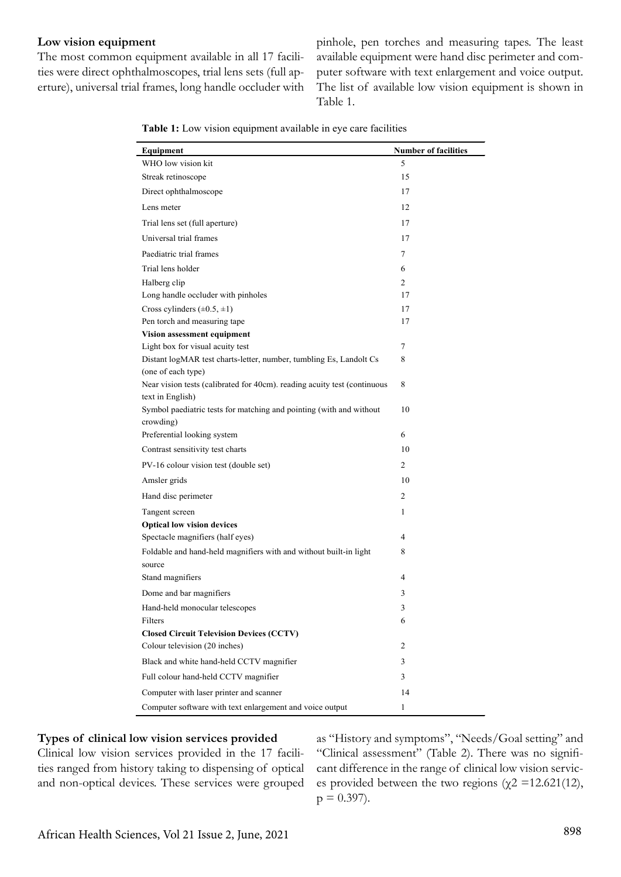#### **Low vision equipment**

The most common equipment available in all 17 facilities were direct ophthalmoscopes, trial lens sets (full aperture), universal trial frames, long handle occluder with

pinhole, pen torches and measuring tapes. The least available equipment were hand disc perimeter and computer software with text enlargement and voice output. The list of available low vision equipment is shown in Table 1.

| Table 1: Low vision equipment available in eye care facilities |  |  |  |  |  |  |
|----------------------------------------------------------------|--|--|--|--|--|--|
|----------------------------------------------------------------|--|--|--|--|--|--|

| Equipment                                                                   | <b>Number of facilities</b> |
|-----------------------------------------------------------------------------|-----------------------------|
| WHO low vision kit                                                          | 5                           |
| Streak retinoscope                                                          | 15                          |
| Direct ophthalmoscope                                                       | 17                          |
| Lens meter                                                                  | 12                          |
| Trial lens set (full aperture)                                              | 17                          |
| Universal trial frames                                                      | 17                          |
| Paediatric trial frames                                                     | 7                           |
| Trial lens holder                                                           | 6                           |
| Halberg clip                                                                | 2                           |
| Long handle occluder with pinholes                                          | 17                          |
| Cross cylinders $(\pm 0.5, \pm 1)$                                          | 17                          |
| Pen torch and measuring tape                                                | 17                          |
| Vision assessment equipment                                                 |                             |
| Light box for visual acuity test                                            | 7                           |
| Distant logMAR test charts-letter, number, tumbling Es, Landolt Cs          | 8                           |
| (one of each type)                                                          |                             |
| Near vision tests (calibrated for 40cm). reading acuity test (continuous    | 8                           |
| text in English)                                                            |                             |
| Symbol paediatric tests for matching and pointing (with and without         | 10                          |
| crowding)                                                                   |                             |
| Preferential looking system                                                 | 6                           |
| Contrast sensitivity test charts                                            | 10                          |
| PV-16 colour vision test (double set)                                       | 2                           |
| Amsler grids                                                                | 10                          |
| Hand disc perimeter                                                         | 2                           |
| Tangent screen                                                              | 1                           |
| <b>Optical low vision devices</b>                                           |                             |
| Spectacle magnifiers (half eyes)                                            | 4                           |
| Foldable and hand-held magnifiers with and without built-in light<br>source | 8                           |
| Stand magnifiers                                                            | 4                           |
| Dome and bar magnifiers                                                     | 3                           |
| Hand-held monocular telescopes                                              | 3                           |
| Filters                                                                     | 6                           |
| <b>Closed Circuit Television Devices (CCTV)</b>                             |                             |
| Colour television (20 inches)                                               | 2                           |
| Black and white hand-held CCTV magnifier                                    | 3                           |
| Full colour hand-held CCTV magnifier                                        | 3                           |
| Computer with laser printer and scanner                                     | 14                          |
| Computer software with text enlargement and voice output                    | 1                           |

#### **Types of clinical low vision services provided**

Clinical low vision services provided in the 17 facilities ranged from history taking to dispensing of optical and non-optical devices. These services were grouped

as "History and symptoms", "Needs/Goal setting" and "Clinical assessment" (Table 2). There was no significant difference in the range of clinical low vision services provided between the two regions ( $\chi$ 2 =12.621(12),  $p = 0.397$ .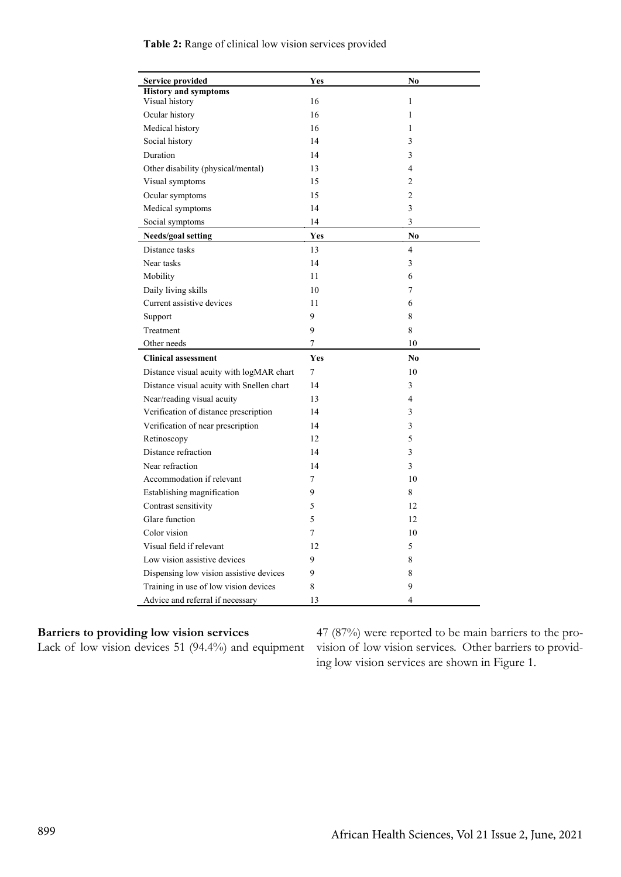| <b>Service provided</b>                   | Yes        | No             |
|-------------------------------------------|------------|----------------|
| <b>History and symptoms</b>               |            |                |
| Visual history                            | 16         | $\mathbf{1}$   |
| Ocular history                            | 16         | 1              |
| Medical history                           | 16         | 1              |
| Social history                            | 14         | 3              |
| Duration                                  | 14         | 3              |
| Other disability (physical/mental)        | 13         | $\overline{4}$ |
| Visual symptoms                           | 15         | $\overline{2}$ |
| Ocular symptoms                           | 15         | $\overline{2}$ |
| Medical symptoms                          | 14         | 3              |
| Social symptoms                           | 14         | 3              |
| Needs/goal setting                        | <b>Yes</b> | No.            |
| Distance tasks                            | 13         | $\overline{4}$ |
| Near tasks                                | 14         | 3              |
| Mobility                                  | 11         | 6              |
| Daily living skills                       | 10         | $\overline{7}$ |
| Current assistive devices                 | 11         | 6              |
| Support                                   | 9          | 8              |
| Treatment                                 | 9          | 8              |
| Other needs                               | 7          | 10             |
| <b>Clinical assessment</b>                | <b>Yes</b> | No.            |
| Distance visual acuity with logMAR chart  | 7          | 10             |
| Distance visual acuity with Snellen chart | 14         | 3              |
| Near/reading visual acuity                | 13         | $\overline{4}$ |
| Verification of distance prescription     | 14         | 3              |
| Verification of near prescription         | 14         | 3              |
| Retinoscopy                               | 12         | 5              |
| Distance refraction                       | 14         | 3              |
| Near refraction                           | 14         | 3              |
| Accommodation if relevant                 | 7          | 10             |
| Establishing magnification                | 9          | 8              |
| Contrast sensitivity                      | 5          | 12             |
| Glare function                            | 5          | 12             |
| Color vision                              | 7          | 10             |
| Visual field if relevant                  | 12         | 5              |
| Low vision assistive devices              | 9          | 8              |
| Dispensing low vision assistive devices   | 9          | 8              |
| Training in use of low vision devices     | 8          | 9              |
| Advice and referral if necessary          | 13         | $\overline{4}$ |

#### **Table 2:** Range of clinical low vision services provided

#### **Barriers to providing low vision services**

Lack of low vision devices 51 (94.4%) and equipment

47 (87%) were reported to be main barriers to the provision of low vision services. Other barriers to providing low vision services are shown in Figure 1.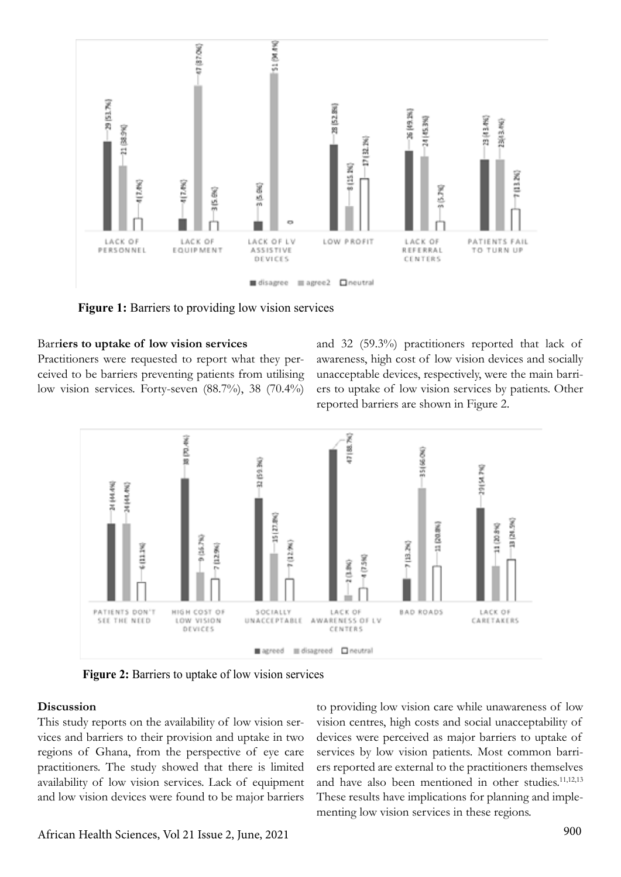

**Figure 1:** Barriers to providing low vision services

#### Barr**iers to uptake of low vision services**

Practitioners were requested to report what they perceived to be barriers preventing patients from utilising low vision services. Forty-seven (88.7%), 38 (70.4%) and 32 (59.3%) practitioners reported that lack of awareness, high cost of low vision devices and socially unacceptable devices, respectively, were the main barriers to uptake of low vision services by patients. Other reported barriers are shown in Figure 2.



**Figure 2:** Barriers to uptake of low vision services

#### **Discussion**

This study reports on the availability of low vision services and barriers to their provision and uptake in two regions of Ghana, from the perspective of eye care practitioners. The study showed that there is limited availability of low vision services. Lack of equipment and low vision devices were found to be major barriers

to providing low vision care while unawareness of low vision centres, high costs and social unacceptability of devices were perceived as major barriers to uptake of services by low vision patients. Most common barriers reported are external to the practitioners themselves and have also been mentioned in other studies.<sup>11,12,13</sup> These results have implications for planning and implementing low vision services in these regions.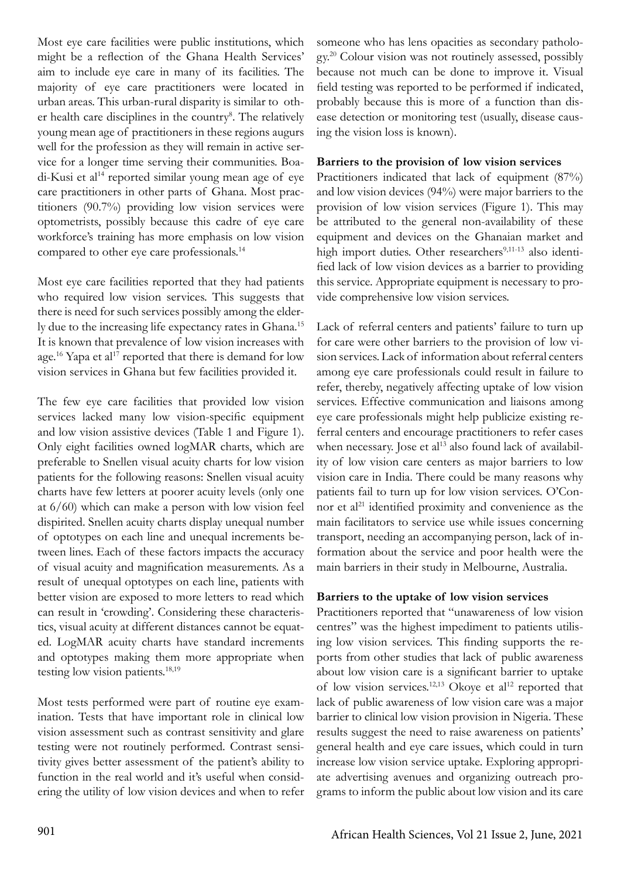Most eye care facilities were public institutions, which might be a reflection of the Ghana Health Services' aim to include eye care in many of its facilities. The majority of eye care practitioners were located in urban areas. This urban-rural disparity is similar to other health care disciplines in the country<sup>8</sup>. The relatively young mean age of practitioners in these regions augurs well for the profession as they will remain in active service for a longer time serving their communities. Boadi-Kusi et al<sup>14</sup> reported similar young mean age of eye care practitioners in other parts of Ghana. Most practitioners (90.7%) providing low vision services were optometrists, possibly because this cadre of eye care workforce's training has more emphasis on low vision compared to other eye care professionals.14

Most eye care facilities reported that they had patients who required low vision services. This suggests that there is need for such services possibly among the elderly due to the increasing life expectancy rates in Ghana.15 It is known that prevalence of low vision increases with age.<sup>16</sup> Yapa et al<sup>17</sup> reported that there is demand for low vision services in Ghana but few facilities provided it.

The few eye care facilities that provided low vision services lacked many low vision-specific equipment and low vision assistive devices (Table 1 and Figure 1). Only eight facilities owned logMAR charts, which are preferable to Snellen visual acuity charts for low vision patients for the following reasons: Snellen visual acuity charts have few letters at poorer acuity levels (only one at 6/60) which can make a person with low vision feel dispirited. Snellen acuity charts display unequal number of optotypes on each line and unequal increments between lines. Each of these factors impacts the accuracy of visual acuity and magnification measurements. As a result of unequal optotypes on each line, patients with better vision are exposed to more letters to read which can result in 'crowding'. Considering these characteristics, visual acuity at different distances cannot be equated. LogMAR acuity charts have standard increments and optotypes making them more appropriate when testing low vision patients.18,19

Most tests performed were part of routine eye examination. Tests that have important role in clinical low vision assessment such as contrast sensitivity and glare testing were not routinely performed. Contrast sensitivity gives better assessment of the patient's ability to function in the real world and it's useful when considering the utility of low vision devices and when to refer

someone who has lens opacities as secondary pathology.20 Colour vision was not routinely assessed, possibly because not much can be done to improve it. Visual field testing was reported to be performed if indicated, probably because this is more of a function than disease detection or monitoring test (usually, disease causing the vision loss is known).

### **Barriers to the provision of low vision services**

Practitioners indicated that lack of equipment (87%) and low vision devices (94%) were major barriers to the provision of low vision services (Figure 1). This may be attributed to the general non-availability of these equipment and devices on the Ghanaian market and high import duties. Other researchers<sup>9,11-13</sup> also identified lack of low vision devices as a barrier to providing this service. Appropriate equipment is necessary to provide comprehensive low vision services.

Lack of referral centers and patients' failure to turn up for care were other barriers to the provision of low vision services. Lack of information about referral centers among eye care professionals could result in failure to refer, thereby, negatively affecting uptake of low vision services. Effective communication and liaisons among eye care professionals might help publicize existing referral centers and encourage practitioners to refer cases when necessary. Jose et al<sup>13</sup> also found lack of availability of low vision care centers as major barriers to low vision care in India. There could be many reasons why patients fail to turn up for low vision services. O'Connor et  $al<sup>21</sup>$  identified proximity and convenience as the main facilitators to service use while issues concerning transport, needing an accompanying person, lack of information about the service and poor health were the main barriers in their study in Melbourne, Australia.

#### **Barriers to the uptake of low vision services**

Practitioners reported that "unawareness of low vision centres" was the highest impediment to patients utilising low vision services. This finding supports the reports from other studies that lack of public awareness about low vision care is a significant barrier to uptake of low vision services.<sup>12,13</sup> Okoye et al<sup>12</sup> reported that lack of public awareness of low vision care was a major barrier to clinical low vision provision in Nigeria. These results suggest the need to raise awareness on patients' general health and eye care issues, which could in turn increase low vision service uptake. Exploring appropriate advertising avenues and organizing outreach programs to inform the public about low vision and its care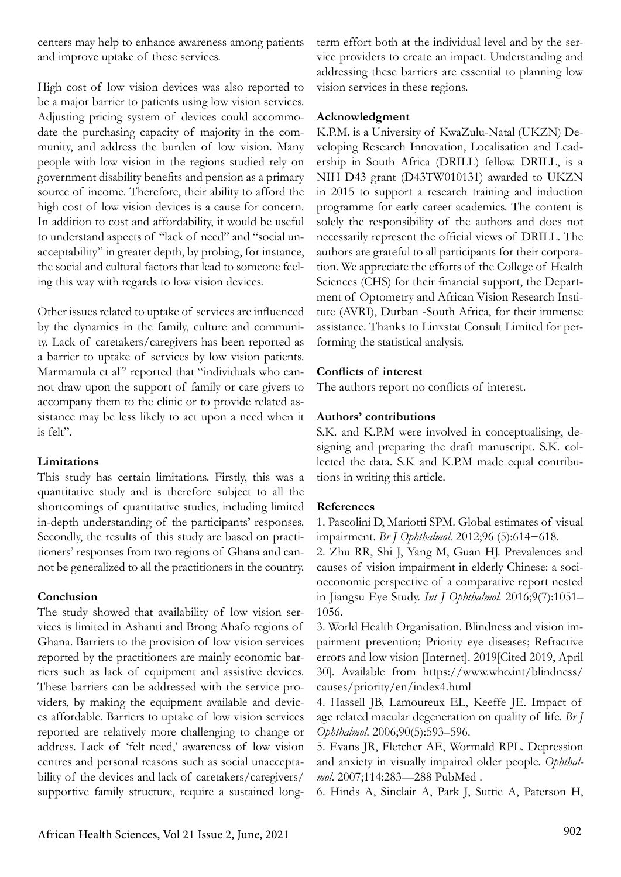centers may help to enhance awareness among patients and improve uptake of these services.

High cost of low vision devices was also reported to be a major barrier to patients using low vision services. Adjusting pricing system of devices could accommodate the purchasing capacity of majority in the community, and address the burden of low vision. Many people with low vision in the regions studied rely on government disability benefits and pension as a primary source of income. Therefore, their ability to afford the high cost of low vision devices is a cause for concern. In addition to cost and affordability, it would be useful to understand aspects of "lack of need" and "social unacceptability" in greater depth, by probing, for instance, the social and cultural factors that lead to someone feeling this way with regards to low vision devices.

Other issues related to uptake of services are influenced by the dynamics in the family, culture and community. Lack of caretakers/caregivers has been reported as a barrier to uptake of services by low vision patients. Marmamula et  $al^{22}$  reported that "individuals who cannot draw upon the support of family or care givers to accompany them to the clinic or to provide related assistance may be less likely to act upon a need when it is felt".

#### **Limitations**

This study has certain limitations. Firstly, this was a quantitative study and is therefore subject to all the shortcomings of quantitative studies, including limited in-depth understanding of the participants' responses. Secondly, the results of this study are based on practitioners' responses from two regions of Ghana and cannot be generalized to all the practitioners in the country.

# **Conclusion**

The study showed that availability of low vision services is limited in Ashanti and Brong Ahafo regions of Ghana. Barriers to the provision of low vision services reported by the practitioners are mainly economic barriers such as lack of equipment and assistive devices. These barriers can be addressed with the service providers, by making the equipment available and devices affordable. Barriers to uptake of low vision services reported are relatively more challenging to change or address. Lack of 'felt need,' awareness of low vision centres and personal reasons such as social unacceptability of the devices and lack of caretakers/caregivers/ supportive family structure, require a sustained longterm effort both at the individual level and by the service providers to create an impact. Understanding and addressing these barriers are essential to planning low vision services in these regions.

### **Acknowledgment**

K.P.M. is a University of KwaZulu-Natal (UKZN) Developing Research Innovation, Localisation and Leadership in South Africa (DRILL) fellow. DRILL, is a NIH D43 grant (D43TW010131) awarded to UKZN in 2015 to support a research training and induction programme for early career academics. The content is solely the responsibility of the authors and does not necessarily represent the official views of DRILL. The authors are grateful to all participants for their corporation. We appreciate the efforts of the College of Health Sciences (CHS) for their financial support, the Department of Optometry and African Vision Research Institute (AVRI), Durban -South Africa, for their immense assistance. Thanks to Linxstat Consult Limited for performing the statistical analysis.

# **Conflicts of interest**

The authors report no conflicts of interest.

# **Authors' contributions**

S.K. and K.P.M were involved in conceptualising, designing and preparing the draft manuscript. S.K. collected the data. S.K and K.P.M made equal contributions in writing this article.

# **References**

1. Pascolini D, Mariotti SPM. Global estimates of visual impairment. *Br J Ophthalmol*. 2012;96 (5):614−618.

2. Zhu RR, Shi J, Yang M, Guan HJ. Prevalences and causes of vision impairment in elderly Chinese: a socioeconomic perspective of a comparative report nested in Jiangsu Eye Study. *Int J Ophthalmol*. 2016;9(7):1051– 1056.

3. World Health Organisation. Blindness and vision impairment prevention; Priority eye diseases; Refractive errors and low vision [Internet]. 2019[Cited 2019, April 30]. Available from https://www.who.int/blindness/ causes/priority/en/index4.html

4. Hassell JB, Lamoureux EL, Keeffe JE. Impact of age related macular degeneration on quality of life. *Br J Ophthalmol*. 2006;90(5):593–596.

5. Evans JR, Fletcher AE, Wormald RPL. Depression and anxiety in visually impaired older people. *Ophthalmol*. 2007;114:283—288 PubMed .

6. Hinds A, Sinclair A, Park J, Suttie A, Paterson H,